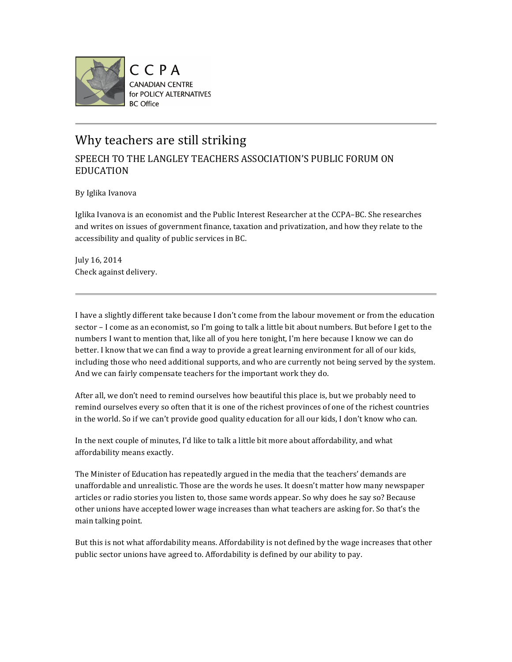

## Why teachers are still striking

## SPEECH TO THE LANGLEY TEACHERS ASSOCIATION'S PUBLIC FORUM ON EDUCATION

By Iglika Ivanova

Iglika Ivanova is an economist and the Public Interest Researcher at the CCPA–BC. She researches and writes on issues of government finance, taxation and privatization, and how they relate to the accessibility and quality of public services in BC.

July 16, 2014 Check against delivery.

I have a slightly different take because I don't come from the labour movement or from the education sector – I come as an economist, so I'm going to talk a little bit about numbers. But before I get to the numbers I want to mention that, like all of you here tonight, I'm here because I know we can do better. I know that we can find a way to provide a great learning environment for all of our kids, including those who need additional supports, and who are currently not being served by the system. And we can fairly compensate teachers for the important work they do.

After all, we don't need to remind ourselves how beautiful this place is, but we probably need to remind ourselves every so often that it is one of the richest provinces of one of the richest countries in the world. So if we can't provide good quality education for all our kids, I don't know who can.

In the next couple of minutes, I'd like to talk a little bit more about affordability, and what affordability means exactly.

The Minister of Education has repeatedly argued in the media that the teachers' demands are unaffordable and unrealistic. Those are the words he uses. It doesn't matter how many newspaper articles or radio stories you listen to, those same words appear. So why does he say so? Because other unions have accepted lower wage increases than what teachers are asking for. So that's the main talking point.

But this is not what affordability means. Affordability is not defined by the wage increases that other public sector unions have agreed to. Affordability is defined by our ability to pay.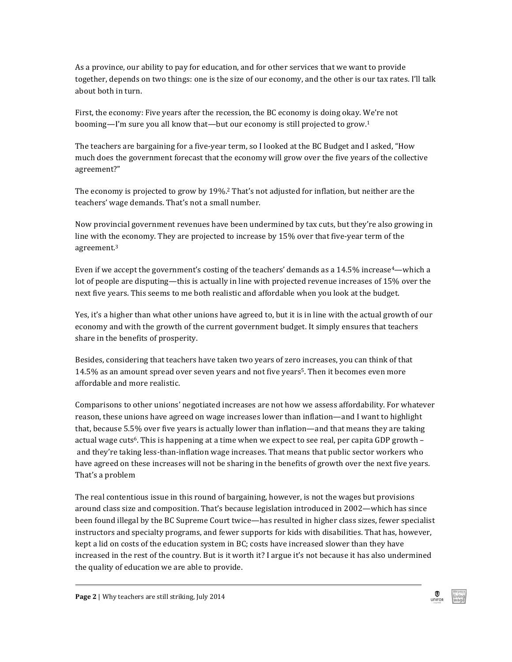As a province, our ability to pay for education, and for other services that we want to provide together, depends on two things: one is the size of our economy, and the other is our tax rates. I'll talk about both in turn.

First, the economy: Five years after the recession, the BC economy is doing okay. We're not booming—I'm sure you all know that—but our economy is still projected to grow.<sup>1</sup>

The teachers are bargaining for a five-year term, so I looked at the BC Budget and I asked, "How much does the government forecast that the economy will grow over the five years of the collective agreement?"

The economy is projected to grow by 19%.<sup>2</sup> That's not adjusted for inflation, but neither are the teachers' wage demands. That's not a small number.

Now provincial government revenues have been undermined by tax cuts, but they're also growing in line with the economy. They are projected to increase by  $15%$  over that five-year term of the agreement.3

Even if we accept the government's costing of the teachers' demands as a  $14.5\%$  increase<sup>4</sup>—which a lot of people are disputing—this is actually in line with projected revenue increases of 15% over the next five years. This seems to me both realistic and affordable when you look at the budget.

Yes, it's a higher than what other unions have agreed to, but it is in line with the actual growth of our economy and with the growth of the current government budget. It simply ensures that teachers share in the benefits of prosperity.

Besides, considering that teachers have taken two years of zero increases, you can think of that 14.5% as an amount spread over seven years and not five years<sup>5</sup>. Then it becomes even more affordable and more realistic.

Comparisons to other unions' negotiated increases are not how we assess affordability. For whatever reason, these unions have agreed on wage increases lower than inflation—and I want to highlight that, because 5.5% over five years is actually lower than inflation—and that means they are taking actual wage cuts<sup>6</sup>. This is happening at a time when we expect to see real, per capita GDP growth – and they're taking less-than-inflation wage increases. That means that public sector workers who have agreed on these increases will not be sharing in the benefits of growth over the next five years. That's a problem

The real contentious issue in this round of bargaining, however, is not the wages but provisions around class size and composition. That's because legislation introduced in 2002—which has since been found illegal by the BC Supreme Court twice—has resulted in higher class sizes, fewer specialist instructors and specialty programs, and fewer supports for kids with disabilities. That has, however, kept a lid on costs of the education system in BC; costs have increased slower than they have increased in the rest of the country. But is it worth it? I argue it's not because it has also undermined the quality of education we are able to provide.

 $\bigcirc$  unifor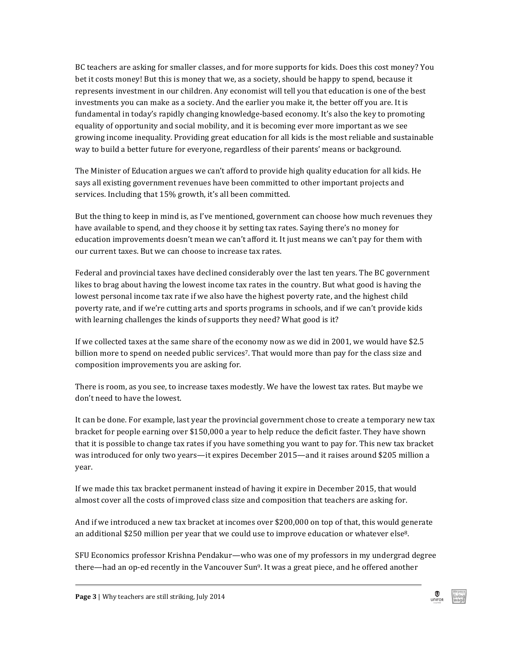BC teachers are asking for smaller classes, and for more supports for kids. Does this cost money? You bet it costs money! But this is money that we, as a society, should be happy to spend, because it represents investment in our children. Any economist will tell you that education is one of the best investments you can make as a society. And the earlier you make it, the better off you are. It is fundamental in today's rapidly changing knowledge-based economy. It's also the key to promoting equality of opportunity and social mobility, and it is becoming ever more important as we see growing income inequality. Providing great education for all kids is the most reliable and sustainable way to build a better future for everyone, regardless of their parents' means or background.

The Minister of Education argues we can't afford to provide high quality education for all kids. He says all existing government revenues have been committed to other important projects and services. Including that 15% growth, it's all been committed.

But the thing to keep in mind is, as I've mentioned, government can choose how much revenues they have available to spend, and they choose it by setting tax rates. Saying there's no money for education improvements doesn't mean we can't afford it. It just means we can't pay for them with our current taxes. But we can choose to increase tax rates.

Federal and provincial taxes have declined considerably over the last ten years. The BC government likes to brag about having the lowest income tax rates in the country. But what good is having the lowest personal income tax rate if we also have the highest poverty rate, and the highest child poverty rate, and if we're cutting arts and sports programs in schools, and if we can't provide kids with learning challenges the kinds of supports they need? What good is it?

If we collected taxes at the same share of the economy now as we did in 2001, we would have \$2.5 billion more to spend on needed public services<sup>7</sup>. That would more than pay for the class size and composition improvements you are asking for.

There is room, as you see, to increase taxes modestly. We have the lowest tax rates. But maybe we don't need to have the lowest.

It can be done. For example, last year the provincial government chose to create a temporary new tax bracket for people earning over \$150,000 a year to help reduce the deficit faster. They have shown that it is possible to change tax rates if you have something you want to pay for. This new tax bracket was introduced for only two years—it expires December 2015—and it raises around \$205 million a year.

If we made this tax bracket permanent instead of having it expire in December 2015, that would almost cover all the costs of improved class size and composition that teachers are asking for.

And if we introduced a new tax bracket at incomes over \$200,000 on top of that, this would generate an additional \$250 million per year that we could use to improve education or whatever else<sup>8</sup>.

SFU Economics professor Krishna Pendakur—who was one of my professors in my undergrad degree there—had an op-ed recently in the Vancouver  $Sun<sup>9</sup>$ . It was a great piece, and he offered another

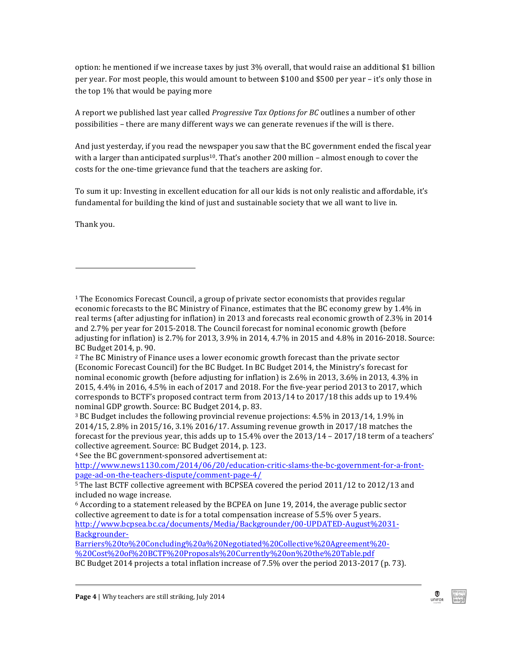option: he mentioned if we increase taxes by just  $3%$  overall, that would raise an additional \$1 billion per year. For most people, this would amount to between \$100 and \$500 per year – it's only those in the top  $1\%$  that would be paying more

A report we published last year called *Progressive Tax Options for BC* outlines a number of other possibilities – there are many different ways we can generate revenues if the will is there.

And just yesterday, if you read the newspaper you saw that the BC government ended the fiscal year with a larger than anticipated surplus<sup>10</sup>. That's another 200 million – almost enough to cover the costs for the one-time grievance fund that the teachers are asking for.

To sum it up: Investing in excellent education for all our kids is not only realistic and affordable, it's fundamental for building the kind of just and sustainable society that we all want to live in.

Thank you.

!!!!!!!!!!!!!!!!!!!!!!!!!!!!!!!!!!!!!!!!!!!!!!!!!!!!!!!!!!!!

 $2$  The BC Ministry of Finance uses a lower economic growth forecast than the private sector (Economic Forecast Council) for the BC Budget. In BC Budget 2014, the Ministry's forecast for nominal economic growth (before adjusting for inflation) is 2.6% in 2013, 3.6% in 2013, 4.3% in 2015, 4.4% in 2016, 4.5% in each of 2017 and 2018. For the five-year period 2013 to 2017, which corresponds to BCTF's proposed contract term from  $2013/14$  to  $2017/18$  this adds up to  $19.4\%$ nominal GDP growth. Source: BC Budget 2014, p. 83.

 $3BC$  Budget includes the following provincial revenue projections:  $4.5\%$  in  $2013/14$ ,  $1.9\%$  in 2014/15, 2.8% in 2015/16, 3.1% 2016/17. Assuming revenue growth in 2017/18 matches the forecast for the previous year, this adds up to  $15.4\%$  over the  $2013/14 - 2017/18$  term of a teachers' collective agreement. Source: BC Budget 2014, p. 123.

<sup>4</sup> See the BC government-sponsored advertisement at:

http://www.news1130.com/2014/06/20/education-critic-slams-the-bc-government-for-a-frontpage^ad^on^the^teachers^dispute/comment^page^4/

Barriers%20to%20Concluding%20a%20Negotiated%20Collective%20Agreement%20^ %20Cost%20of%20BCTF%20Proposals%20Currently%20on%20the%20Table.pdf

BC Budget 2014 projects a total inflation increase of 7.5% over the period 2013-2017 (p. 73).

<sup>&</sup>lt;sup>1</sup>The Economics Forecast Council, a group of private sector economists that provides regular economic forecasts to the BC Ministry of Finance, estimates that the BC economy grew by 1.4% in real terms (after adjusting for inflation) in 2013 and forecasts real economic growth of 2.3% in 2014 and 2.7% per year for 2015-2018. The Council forecast for nominal economic growth (before adjusting for inflation) is 2.7% for 2013, 3.9% in 2014, 4.7% in 2015 and 4.8% in 2016-2018. Source: BC Budget 2014, p. 90.

 $5$ The last BCTF collective agreement with BCPSEA covered the period 2011/12 to 2012/13 and included no wage increase.

 $6$  According to a statement released by the BCPEA on June 19, 2014, the average public sector collective agreement to date is for a total compensation increase of 5.5% over 5 years. http://www.bcpsea.bc.ca/documents/Media/Backgrounder/00-UPDATED-August%2031-Backgrounder-